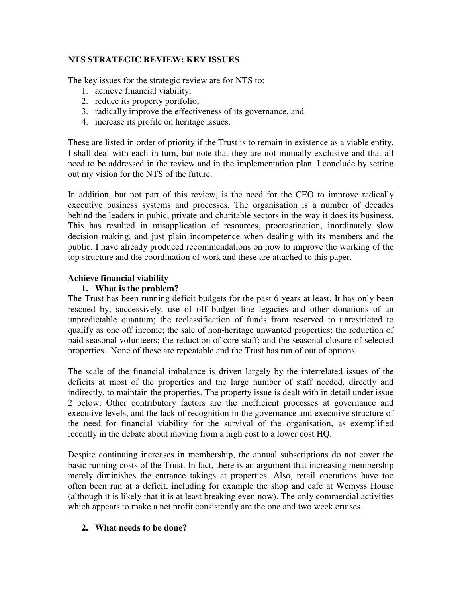# **NTS STRATEGIC REVIEW: KEY ISSUES**

The key issues for the strategic review are for NTS to:

- 1. achieve financial viability,
- 2. reduce its property portfolio,
- 3. radically improve the effectiveness of its governance, and
- 4. increase its profile on heritage issues.

These are listed in order of priority if the Trust is to remain in existence as a viable entity. I shall deal with each in turn, but note that they are not mutually exclusive and that all need to be addressed in the review and in the implementation plan. I conclude by setting out my vision for the NTS of the future.

In addition, but not part of this review, is the need for the CEO to improve radically executive business systems and processes. The organisation is a number of decades behind the leaders in pubic, private and charitable sectors in the way it does its business. This has resulted in misapplication of resources, procrastination, inordinately slow decision making, and just plain incompetence when dealing with its members and the public. I have already produced recommendations on how to improve the working of the top structure and the coordination of work and these are attached to this paper.

# **Achieve financial viability**

# **1. What is the problem?**

The Trust has been running deficit budgets for the past 6 years at least. It has only been rescued by, successively, use of off budget line legacies and other donations of an unpredictable quantum; the reclassification of funds from reserved to unrestricted to qualify as one off income; the sale of non-heritage unwanted properties; the reduction of paid seasonal volunteers; the reduction of core staff; and the seasonal closure of selected properties. None of these are repeatable and the Trust has run of out of options.

The scale of the financial imbalance is driven largely by the interrelated issues of the deficits at most of the properties and the large number of staff needed, directly and indirectly, to maintain the properties. The property issue is dealt with in detail under issue 2 below. Other contributory factors are the inefficient processes at governance and executive levels, and the lack of recognition in the governance and executive structure of the need for financial viability for the survival of the organisation, as exemplified recently in the debate about moving from a high cost to a lower cost HQ.

Despite continuing increases in membership, the annual subscriptions do not cover the basic running costs of the Trust. In fact, there is an argument that increasing membership merely diminishes the entrance takings at properties. Also, retail operations have too often been run at a deficit, including for example the shop and cafe at Wemyss House (although it is likely that it is at least breaking even now). The only commercial activities which appears to make a net profit consistently are the one and two week cruises.

# **2. What needs to be done?**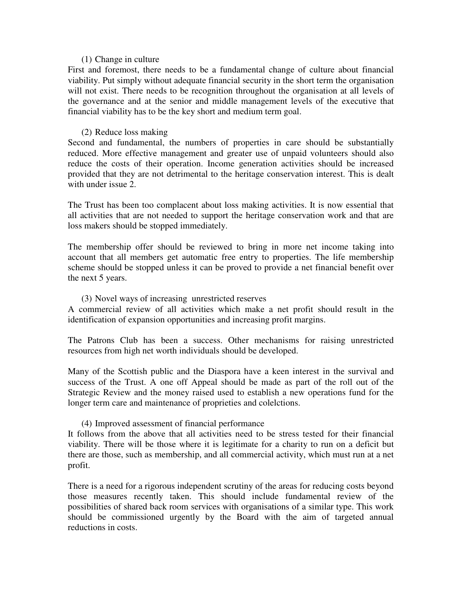#### (1) Change in culture

First and foremost, there needs to be a fundamental change of culture about financial viability. Put simply without adequate financial security in the short term the organisation will not exist. There needs to be recognition throughout the organisation at all levels of the governance and at the senior and middle management levels of the executive that financial viability has to be the key short and medium term goal.

## (2) Reduce loss making

Second and fundamental, the numbers of properties in care should be substantially reduced. More effective management and greater use of unpaid volunteers should also reduce the costs of their operation. Income generation activities should be increased provided that they are not detrimental to the heritage conservation interest. This is dealt with under issue 2.

The Trust has been too complacent about loss making activities. It is now essential that all activities that are not needed to support the heritage conservation work and that are loss makers should be stopped immediately.

The membership offer should be reviewed to bring in more net income taking into account that all members get automatic free entry to properties. The life membership scheme should be stopped unless it can be proved to provide a net financial benefit over the next 5 years.

#### (3) Novel ways of increasing unrestricted reserves

A commercial review of all activities which make a net profit should result in the identification of expansion opportunities and increasing profit margins.

The Patrons Club has been a success. Other mechanisms for raising unrestricted resources from high net worth individuals should be developed.

Many of the Scottish public and the Diaspora have a keen interest in the survival and success of the Trust. A one off Appeal should be made as part of the roll out of the Strategic Review and the money raised used to establish a new operations fund for the longer term care and maintenance of proprieties and colelctions.

## (4) Improved assessment of financial performance

It follows from the above that all activities need to be stress tested for their financial viability. There will be those where it is legitimate for a charity to run on a deficit but there are those, such as membership, and all commercial activity, which must run at a net profit.

There is a need for a rigorous independent scrutiny of the areas for reducing costs beyond those measures recently taken. This should include fundamental review of the possibilities of shared back room services with organisations of a similar type. This work should be commissioned urgently by the Board with the aim of targeted annual reductions in costs.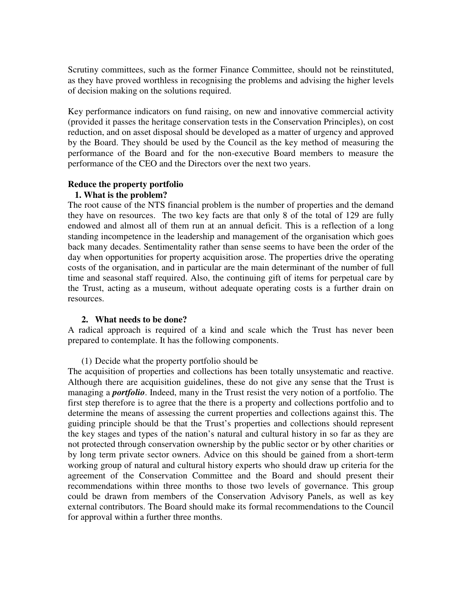Scrutiny committees, such as the former Finance Committee, should not be reinstituted, as they have proved worthless in recognising the problems and advising the higher levels of decision making on the solutions required.

Key performance indicators on fund raising, on new and innovative commercial activity (provided it passes the heritage conservation tests in the Conservation Principles), on cost reduction, and on asset disposal should be developed as a matter of urgency and approved by the Board. They should be used by the Council as the key method of measuring the performance of the Board and for the non-executive Board members to measure the performance of the CEO and the Directors over the next two years.

## **Reduce the property portfolio**

## **1. What is the problem?**

The root cause of the NTS financial problem is the number of properties and the demand they have on resources. The two key facts are that only 8 of the total of 129 are fully endowed and almost all of them run at an annual deficit. This is a reflection of a long standing incompetence in the leadership and management of the organisation which goes back many decades. Sentimentality rather than sense seems to have been the order of the day when opportunities for property acquisition arose. The properties drive the operating costs of the organisation, and in particular are the main determinant of the number of full time and seasonal staff required. Also, the continuing gift of items for perpetual care by the Trust, acting as a museum, without adequate operating costs is a further drain on resources.

## **2. What needs to be done?**

A radical approach is required of a kind and scale which the Trust has never been prepared to contemplate. It has the following components.

## (1) Decide what the property portfolio should be

The acquisition of properties and collections has been totally unsystematic and reactive. Although there are acquisition guidelines, these do not give any sense that the Trust is managing a *portfolio*. Indeed, many in the Trust resist the very notion of a portfolio. The first step therefore is to agree that the there is a property and collections portfolio and to determine the means of assessing the current properties and collections against this. The guiding principle should be that the Trust's properties and collections should represent the key stages and types of the nation's natural and cultural history in so far as they are not protected through conservation ownership by the public sector or by other charities or by long term private sector owners. Advice on this should be gained from a short-term working group of natural and cultural history experts who should draw up criteria for the agreement of the Conservation Committee and the Board and should present their recommendations within three months to those two levels of governance. This group could be drawn from members of the Conservation Advisory Panels, as well as key external contributors. The Board should make its formal recommendations to the Council for approval within a further three months.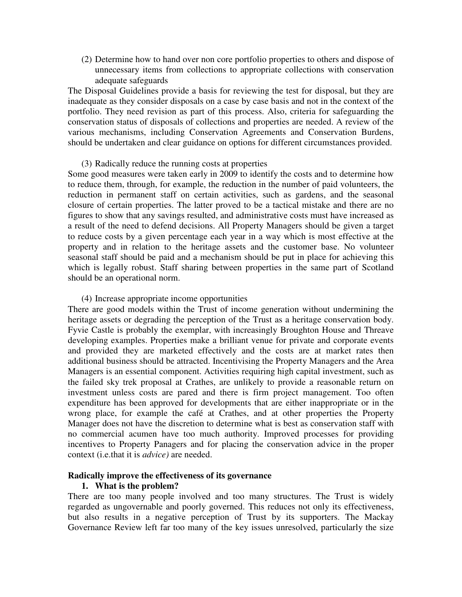(2) Determine how to hand over non core portfolio properties to others and dispose of unnecessary items from collections to appropriate collections with conservation adequate safeguards

The Disposal Guidelines provide a basis for reviewing the test for disposal, but they are inadequate as they consider disposals on a case by case basis and not in the context of the portfolio. They need revision as part of this process. Also, criteria for safeguarding the conservation status of disposals of collections and properties are needed. A review of the various mechanisms, including Conservation Agreements and Conservation Burdens, should be undertaken and clear guidance on options for different circumstances provided.

### (3) Radically reduce the running costs at properties

Some good measures were taken early in 2009 to identify the costs and to determine how to reduce them, through, for example, the reduction in the number of paid volunteers, the reduction in permanent staff on certain activities, such as gardens, and the seasonal closure of certain properties. The latter proved to be a tactical mistake and there are no figures to show that any savings resulted, and administrative costs must have increased as a result of the need to defend decisions. All Property Managers should be given a target to reduce costs by a given percentage each year in a way which is most effective at the property and in relation to the heritage assets and the customer base. No volunteer seasonal staff should be paid and a mechanism should be put in place for achieving this which is legally robust. Staff sharing between properties in the same part of Scotland should be an operational norm.

#### (4) Increase appropriate income opportunities

There are good models within the Trust of income generation without undermining the heritage assets or degrading the perception of the Trust as a heritage conservation body. Fyvie Castle is probably the exemplar, with increasingly Broughton House and Threave developing examples. Properties make a brilliant venue for private and corporate events and provided they are marketed effectively and the costs are at market rates then additional business should be attracted. Incentivising the Property Managers and the Area Managers is an essential component. Activities requiring high capital investment, such as the failed sky trek proposal at Crathes, are unlikely to provide a reasonable return on investment unless costs are pared and there is firm project management. Too often expenditure has been approved for developments that are either inappropriate or in the wrong place, for example the café at Crathes, and at other properties the Property Manager does not have the discretion to determine what is best as conservation staff with no commercial acumen have too much authority. Improved processes for providing incentives to Property Panagers and for placing the conservation advice in the proper context (i.e.that it is *advice)* are needed.

# **Radically improve the effectiveness of its governance**

## **1. What is the problem?**

There are too many people involved and too many structures. The Trust is widely regarded as ungovernable and poorly governed. This reduces not only its effectiveness, but also results in a negative perception of Trust by its supporters. The Mackay Governance Review left far too many of the key issues unresolved, particularly the size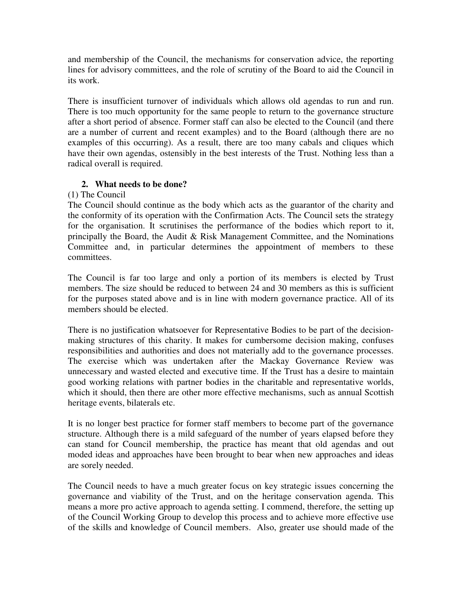and membership of the Council, the mechanisms for conservation advice, the reporting lines for advisory committees, and the role of scrutiny of the Board to aid the Council in its work.

There is insufficient turnover of individuals which allows old agendas to run and run. There is too much opportunity for the same people to return to the governance structure after a short period of absence. Former staff can also be elected to the Council (and there are a number of current and recent examples) and to the Board (although there are no examples of this occurring). As a result, there are too many cabals and cliques which have their own agendas, ostensibly in the best interests of the Trust. Nothing less than a radical overall is required.

# **2. What needs to be done?**

# (1) The Council

The Council should continue as the body which acts as the guarantor of the charity and the conformity of its operation with the Confirmation Acts. The Council sets the strategy for the organisation. It scrutinises the performance of the bodies which report to it, principally the Board, the Audit & Risk Management Committee, and the Nominations Committee and, in particular determines the appointment of members to these committees.

The Council is far too large and only a portion of its members is elected by Trust members. The size should be reduced to between 24 and 30 members as this is sufficient for the purposes stated above and is in line with modern governance practice. All of its members should be elected.

There is no justification whatsoever for Representative Bodies to be part of the decisionmaking structures of this charity. It makes for cumbersome decision making, confuses responsibilities and authorities and does not materially add to the governance processes. The exercise which was undertaken after the Mackay Governance Review was unnecessary and wasted elected and executive time. If the Trust has a desire to maintain good working relations with partner bodies in the charitable and representative worlds, which it should, then there are other more effective mechanisms, such as annual Scottish heritage events, bilaterals etc.

It is no longer best practice for former staff members to become part of the governance structure. Although there is a mild safeguard of the number of years elapsed before they can stand for Council membership, the practice has meant that old agendas and out moded ideas and approaches have been brought to bear when new approaches and ideas are sorely needed.

The Council needs to have a much greater focus on key strategic issues concerning the governance and viability of the Trust, and on the heritage conservation agenda. This means a more pro active approach to agenda setting. I commend, therefore, the setting up of the Council Working Group to develop this process and to achieve more effective use of the skills and knowledge of Council members. Also, greater use should made of the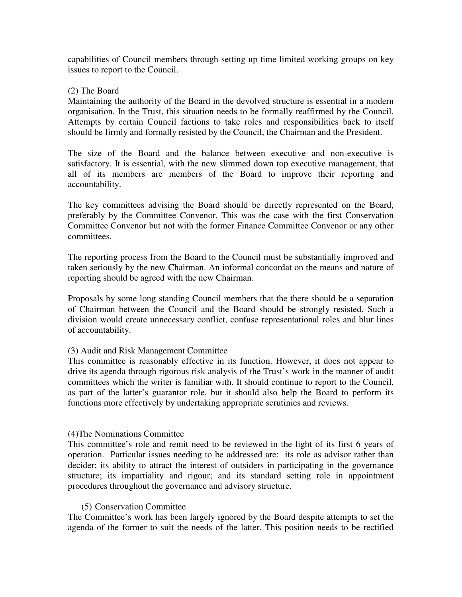capabilities of Council members through setting up time limited working groups on key issues to report to the Council.

## (2) The Board

Maintaining the authority of the Board in the devolved structure is essential in a modern organisation. In the Trust, this situation needs to be formally reaffirmed by the Council. Attempts by certain Council factions to take roles and responsibilities back to itself should be firmly and formally resisted by the Council, the Chairman and the President.

The size of the Board and the balance between executive and non-executive is satisfactory. It is essential, with the new slimmed down top executive management, that all of its members are members of the Board to improve their reporting and accountability.

The key committees advising the Board should be directly represented on the Board, preferably by the Committee Convenor. This was the case with the first Conservation Committee Convenor but not with the former Finance Committee Convenor or any other committees.

The reporting process from the Board to the Council must be substantially improved and taken seriously by the new Chairman. An informal concordat on the means and nature of reporting should be agreed with the new Chairman.

Proposals by some long standing Council members that the there should be a separation of Chairman between the Council and the Board should be strongly resisted. Such a division would create unnecessary conflict, confuse representational roles and blur lines of accountability.

## (3) Audit and Risk Management Committee

This committee is reasonably effective in its function. However, it does not appear to drive its agenda through rigorous risk analysis of the Trust's work in the manner of audit committees which the writer is familiar with. It should continue to report to the Council, as part of the latter's guarantor role, but it should also help the Board to perform its functions more effectively by undertaking appropriate scrutinies and reviews.

## (4)The Nominations Committee

This committee's role and remit need to be reviewed in the light of its first 6 years of operation. Particular issues needing to be addressed are: its role as advisor rather than decider; its ability to attract the interest of outsiders in participating in the governance structure; its impartiality and rigour; and its standard setting role in appointment procedures throughout the governance and advisory structure.

## (5) Conservation Committee

The Committee's work has been largely ignored by the Board despite attempts to set the agenda of the former to suit the needs of the latter. This position needs to be rectified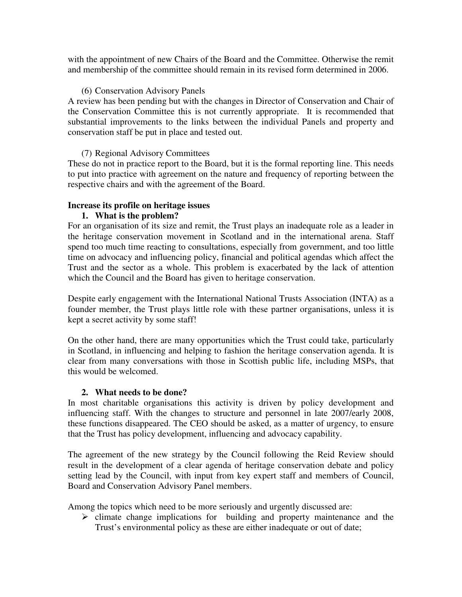with the appointment of new Chairs of the Board and the Committee. Otherwise the remit and membership of the committee should remain in its revised form determined in 2006.

## (6) Conservation Advisory Panels

A review has been pending but with the changes in Director of Conservation and Chair of the Conservation Committee this is not currently appropriate. It is recommended that substantial improvements to the links between the individual Panels and property and conservation staff be put in place and tested out.

# (7) Regional Advisory Committees

These do not in practice report to the Board, but it is the formal reporting line. This needs to put into practice with agreement on the nature and frequency of reporting between the respective chairs and with the agreement of the Board.

# **Increase its profile on heritage issues**

# **1. What is the problem?**

For an organisation of its size and remit, the Trust plays an inadequate role as a leader in the heritage conservation movement in Scotland and in the international arena. Staff spend too much time reacting to consultations, especially from government, and too little time on advocacy and influencing policy, financial and political agendas which affect the Trust and the sector as a whole. This problem is exacerbated by the lack of attention which the Council and the Board has given to heritage conservation.

Despite early engagement with the International National Trusts Association (INTA) as a founder member, the Trust plays little role with these partner organisations, unless it is kept a secret activity by some staff!

On the other hand, there are many opportunities which the Trust could take, particularly in Scotland, in influencing and helping to fashion the heritage conservation agenda. It is clear from many conversations with those in Scottish public life, including MSPs, that this would be welcomed.

## **2. What needs to be done?**

In most charitable organisations this activity is driven by policy development and influencing staff. With the changes to structure and personnel in late 2007/early 2008, these functions disappeared. The CEO should be asked, as a matter of urgency, to ensure that the Trust has policy development, influencing and advocacy capability.

The agreement of the new strategy by the Council following the Reid Review should result in the development of a clear agenda of heritage conservation debate and policy setting lead by the Council, with input from key expert staff and members of Council, Board and Conservation Advisory Panel members.

Among the topics which need to be more seriously and urgently discussed are:

 $\triangleright$  climate change implications for building and property maintenance and the Trust's environmental policy as these are either inadequate or out of date;